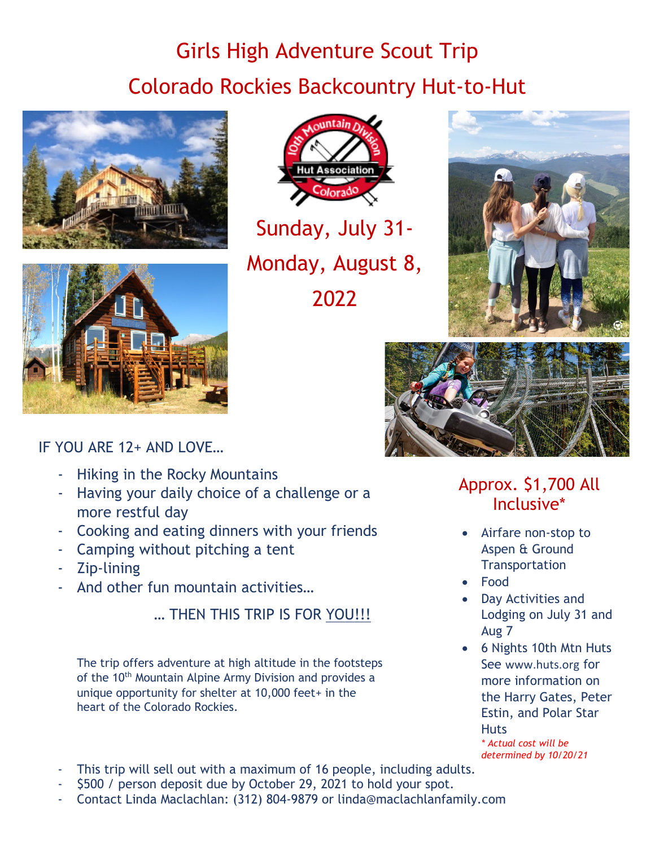## Girls High Adventure Scout Trip Colorado Rockies Backcountry Hut-to-Hut





Association olorado

Sunday, July 31- Monday, August 8, 2022





IF YOU ARE 12+ AND LOVE…

- Hiking in the Rocky Mountains
- Having your daily choice of a challenge or a more restful day
- Cooking and eating dinners with your friends
- Camping without pitching a tent
- Zip-lining
- And other fun mountain activities...

… THEN THIS TRIP IS FOR YOU!!!

The trip offers adventure at high altitude in the footsteps of the 10<sup>th</sup> Mountain Alpine Army Division and provides a unique opportunity for shelter at 10,000 feet+ in the heart of the Colorado Rockies.

Approx. \$1,700 All Inclusive\*

- Airfare non-stop to Aspen & Ground **Transportation**
- Food
- Day Activities and Lodging on July 31 and Aug 7
- 6 Nights 10th Mtn Huts See [www.huts.org](http://www.huts.org/) for more information on the Harry Gates, Peter Estin, and Polar Star **Huts** *\* Actual cost will be*

*determined by 10/20/21*

- This trip will sell out with a maximum of 16 people, including adults.
- \$500 / person deposit due by October 29, 2021 to hold your spot.
- Contact Linda Maclachlan: (312) 804-9879 or linda@maclachlanfamily.com